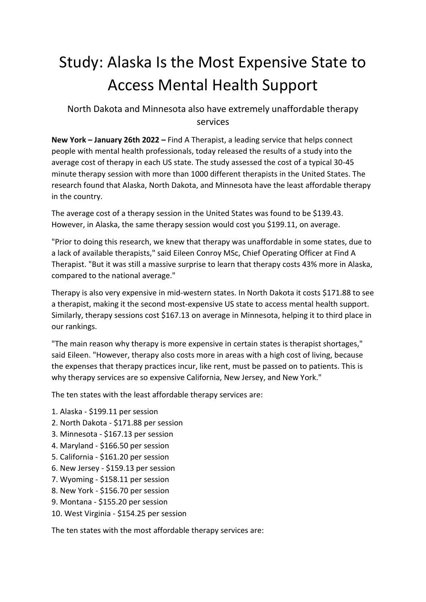## Study: Alaska Is the Most Expensive State to Access Mental Health Support

North Dakota and Minnesota also have extremely unaffordable therapy services

**New York – January 26th 2022 –** Find A Therapist, a leading service that helps connect people with mental health professionals, today released the results of a study into the average cost of therapy in each US state. The study assessed the cost of a typical 30-45 minute therapy session with more than 1000 different therapists in the United States. The research found that Alaska, North Dakota, and Minnesota have the least affordable therapy in the country.

The average cost of a therapy session in the United States was found to be \$139.43. However, in Alaska, the same therapy session would cost you \$199.11, on average.

"Prior to doing this research, we knew that therapy was unaffordable in some states, due to a lack of available therapists," said Eileen Conroy MSc, Chief Operating Officer at Find A Therapist. "But it was still a massive surprise to learn that therapy costs 43% more in Alaska, compared to the national average."

Therapy is also very expensive in mid-western states. In North Dakota it costs \$171.88 to see a therapist, making it the second most-expensive US state to access mental health support. Similarly, therapy sessions cost \$167.13 on average in Minnesota, helping it to third place in our rankings.

"The main reason why therapy is more expensive in certain states is therapist shortages," said Eileen. "However, therapy also costs more in areas with a high cost of living, because the expenses that therapy practices incur, like rent, must be passed on to patients. This is why therapy services are so expensive California, New Jersey, and New York."

The ten states with the least affordable therapy services are:

- 1. Alaska \$199.11 per session
- 2. North Dakota \$171.88 per session
- 3. Minnesota \$167.13 per session
- 4. Maryland \$166.50 per session
- 5. California \$161.20 per session
- 6. New Jersey \$159.13 per session
- 7. Wyoming \$158.11 per session
- 8. New York \$156.70 per session
- 9. Montana \$155.20 per session
- 10. West Virginia \$154.25 per session

The ten states with the most affordable therapy services are: